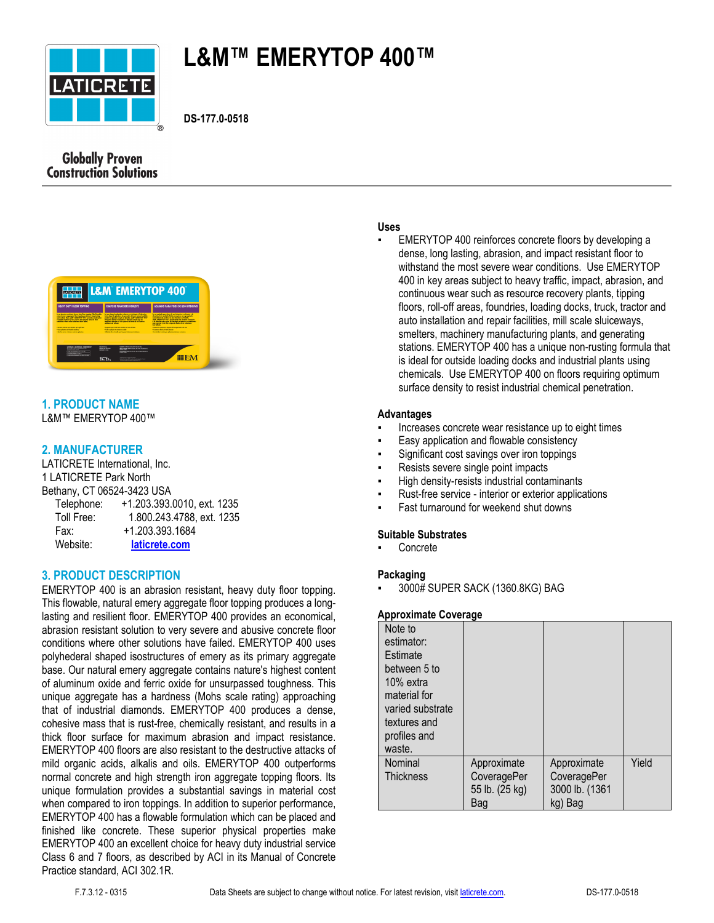

# **L&M™ EMERYTOP 400™**

**DS-177.0-0518**



# **1. PRODUCT NAME**

L&M™ EMERYTOP 400™

# **2. MANUFACTURER**

LATICRETE International, Inc. 1 LATICRETE Park North Bethany, CT 06524-3423 USA Telephone: +1.203.393.0010, ext. 1235 Toll Free: 1.800.243.4788, ext. 1235 Fax: +1.203.393.1684 Website: **[laticrete.com](https://laticrete.com/)**

# **3. PRODUCT DESCRIPTION**

EMERYTOP 400 is an abrasion resistant, heavy duty floor topping. This flowable, natural emery aggregate floor topping produces a longlasting and resilient floor. EMERYTOP 400 provides an economical, abrasion resistant solution to very severe and abusive concrete floor conditions where other solutions have failed. EMERYTOP 400 uses polyhederal shaped isostructures of emery as its primary aggregate base. Our natural emery aggregate contains nature's highest content of aluminum oxide and ferric oxide for unsurpassed toughness. This unique aggregate has a hardness (Mohs scale rating) approaching that of industrial diamonds. EMERYTOP 400 produces a dense, cohesive mass that is rust-free, chemically resistant, and results in a thick floor surface for maximum abrasion and impact resistance. EMERYTOP 400 floors are also resistant to the destructive attacks of mild organic acids, alkalis and oils. EMERYTOP 400 outperforms normal concrete and high strength iron aggregate topping floors. Its unique formulation provides a substantial savings in material cost when compared to iron toppings. In addition to superior performance, EMERYTOP 400 has a flowable formulation which can be placed and finished like concrete. These superior physical properties make EMERYTOP 400 an excellent choice for heavy duty industrial service Class 6 and 7 floors, as described by ACI in its Manual of Concrete Practice standard, ACI 302.1R.

#### **Uses**

EMERYTOP 400 reinforces concrete floors by developing a dense, long lasting, abrasion, and impact resistant floor to withstand the most severe wear conditions. Use EMERYTOP 400 in key areas subject to heavy traffic, impact, abrasion, and continuous wear such as resource recovery plants, tipping floors, roll-off areas, foundries, loading docks, truck, tractor and auto installation and repair facilities, mill scale sluiceways, smelters, machinery manufacturing plants, and generating stations. EMERYTOP 400 has a unique non-rusting formula that is ideal for outside loading docks and industrial plants using chemicals. Use EMERYTOP 400 on floors requiring optimum surface density to resist industrial chemical penetration.

#### **Advantages**

- Increases concrete wear resistance up to eight times
- Easy application and flowable consistency
- Significant cost savings over iron toppings
- Resists severe single point impacts
- High density-resists industrial contaminants
- Rust-free service interior or exterior applications
- Fast turnaround for weekend shut downs

#### **Suitable Substrates**

**Concrete** 

# **Packaging**

▪ 3000# SUPER SACK (1360.8KG) BAG

#### **Approximate Coverage**

| Note to<br>estimator:<br>Estimate<br>between 5 to<br>10% extra<br>material for<br>varied substrate<br>textures and<br>profiles and<br>waste. |                                                     |                                                         |       |
|----------------------------------------------------------------------------------------------------------------------------------------------|-----------------------------------------------------|---------------------------------------------------------|-------|
| Nominal<br><b>Thickness</b>                                                                                                                  | Approximate<br>CoveragePer<br>55 lb. (25 kg)<br>Bag | Approximate<br>CoveragePer<br>3000 lb. (1361<br>kg) Bag | Yield |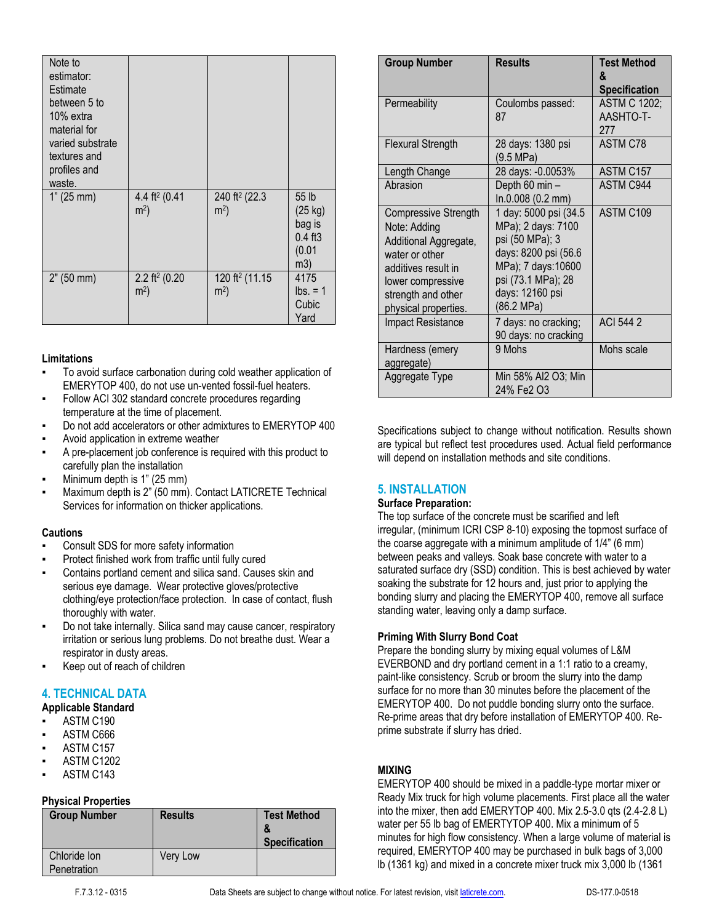| Note to<br>estimator:<br>Estimate<br>between 5 to<br>$10\%$ extra<br>material for<br>varied substrate<br>textures and<br>profiles and<br>waste. |                                             |                                              |                                                          |
|-------------------------------------------------------------------------------------------------------------------------------------------------|---------------------------------------------|----------------------------------------------|----------------------------------------------------------|
| 1" (25 mm)                                                                                                                                      | 4.4 ft <sup>2</sup> (0.41<br>m <sup>2</sup> | 240 ft <sup>2</sup> (22.3)<br>m <sup>2</sup> | 55 lb<br>(25 kg)<br>bag is<br>$0.4$ ft3<br>(0.01)<br>m3) |
| 2" (50 mm)                                                                                                                                      | 2.2 ft <sup>2</sup> (0.20<br>m <sup>2</sup> | 120 ft <sup>2</sup> (11.15<br>m <sup>2</sup> | 4175<br>$\text{lbs.} = 1$<br>Cubic<br>Yard               |

#### **Limitations**

- To avoid surface carbonation during cold weather application of EMERYTOP 400, do not use un-vented fossil-fuel heaters.
- Follow ACI 302 standard concrete procedures regarding temperature at the time of placement.
- Do not add accelerators or other admixtures to EMERYTOP 400
- Avoid application in extreme weather
- A pre-placement job conference is required with this product to carefully plan the installation
- Minimum depth is 1" (25 mm)
- Maximum depth is 2" (50 mm). Contact LATICRETE Technical Services for information on thicker applications.

#### **Cautions**

- Consult SDS for more safety information
- Protect finished work from traffic until fully cured
- Contains portland cement and silica sand. Causes skin and serious eye damage. Wear protective gloves/protective clothing/eye protection/face protection. In case of contact, flush thoroughly with water.
- Do not take internally. Silica sand may cause cancer, respiratory irritation or serious lung problems. Do not breathe dust. Wear a respirator in dusty areas.
- Keep out of reach of children

# **4. TECHNICAL DATA**

- **Applicable Standard**
- ASTM C190
- ASTM C666
- ASTM C157
- **ASTM C1202**
- ASTM C143

# **Physical Properties**

| <b>Group Number</b>         | <b>Results</b>  | <b>Test Method</b><br><b>Specification</b> |
|-----------------------------|-----------------|--------------------------------------------|
| Chloride Ion<br>Penetration | <b>Very Low</b> |                                            |

| <b>Group Number</b>                                                                                                                                                       | <b>Results</b>                                                                                                                                                      | <b>Test Method</b><br>ጼ<br><b>Specification</b> |
|---------------------------------------------------------------------------------------------------------------------------------------------------------------------------|---------------------------------------------------------------------------------------------------------------------------------------------------------------------|-------------------------------------------------|
| Permeability                                                                                                                                                              | Coulombs passed:<br>87                                                                                                                                              | <b>ASTM C 1202;</b><br>AASHTO-T-<br>277         |
| <b>Flexural Strength</b>                                                                                                                                                  | 28 days: 1380 psi<br>$(9.5 \text{ MPa})$                                                                                                                            | ASTM C78                                        |
| Length Change                                                                                                                                                             | 28 days: -0.0053%                                                                                                                                                   | ASTM C157                                       |
| Abrasion                                                                                                                                                                  | Depth 60 min -<br>In.0.008 (0.2 mm)                                                                                                                                 | <b>ASTM C944</b>                                |
| Compressive Strength<br>Note: Adding<br>Additional Aggregate,<br>water or other<br>additives result in<br>lower compressive<br>strength and other<br>physical properties. | 1 day: 5000 psi (34.5<br>MPa); 2 days: 7100<br>psi (50 MPa); 3<br>days: 8200 psi (56.6<br>MPa); 7 days:10600<br>psi (73.1 MPa); 28<br>days: 12160 psi<br>(86.2 MPa) | ASTM C109                                       |
| <b>Impact Resistance</b>                                                                                                                                                  | 7 days: no cracking;<br>90 days: no cracking                                                                                                                        | ACI 544 2                                       |
| Hardness (emery<br>aggregate)                                                                                                                                             | 9 Mohs                                                                                                                                                              | Mohs scale                                      |
| Aggregate Type                                                                                                                                                            | Min 58% AI2 O3; Min<br>24% Fe2 O3                                                                                                                                   |                                                 |

Specifications subject to change without notification. Results shown are typical but reflect test procedures used. Actual field performance will depend on installation methods and site conditions.

# **5. INSTALLATION**

#### **Surface Preparation:**

The top surface of the concrete must be scarified and left irregular, (minimum ICRI CSP 8-10) exposing the topmost surface of the coarse aggregate with a minimum amplitude of 1/4" (6 mm) between peaks and valleys. Soak base concrete with water to a saturated surface dry (SSD) condition. This is best achieved by water soaking the substrate for 12 hours and, just prior to applying the bonding slurry and placing the EMERYTOP 400, remove all surface standing water, leaving only a damp surface.

#### **Priming With Slurry Bond Coat**

Prepare the bonding slurry by mixing equal volumes of L&M EVERBOND and dry portland cement in a 1:1 ratio to a creamy, paint-like consistency. Scrub or broom the slurry into the damp surface for no more than 30 minutes before the placement of the EMERYTOP 400. Do not puddle bonding slurry onto the surface. Re-prime areas that dry before installation of EMERYTOP 400. Reprime substrate if slurry has dried.

# **MIXING**

EMERYTOP 400 should be mixed in a paddle-type mortar mixer or Ready Mix truck for high volume placements. First place all the water into the mixer, then add EMERYTOP 400. Mix 2.5-3.0 qts (2.4-2.8 L) water per 55 lb bag of EMERTYTOP 400. Mix a minimum of 5 minutes for high flow consistency. When a large volume of material is required, EMERYTOP 400 may be purchased in bulk bags of 3,000 lb (1361 kg) and mixed in a concrete mixer truck mix 3,000 lb (1361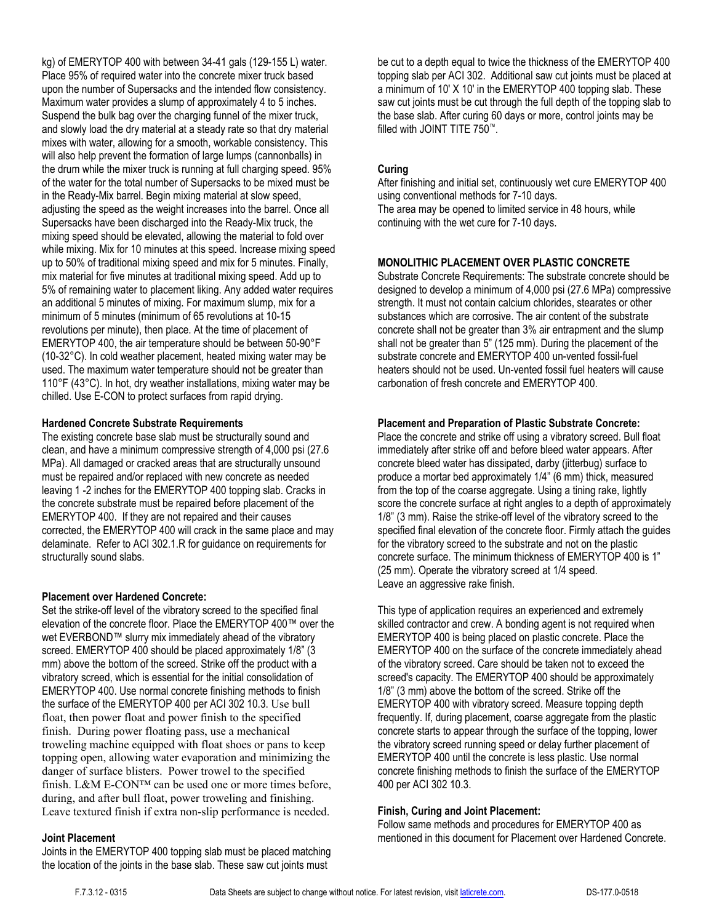kg) of EMERYTOP 400 with between 34-41 gals (129-155 L) water. Place 95% of required water into the concrete mixer truck based upon the number of Supersacks and the intended flow consistency. Maximum water provides a slump of approximately 4 to 5 inches. Suspend the bulk bag over the charging funnel of the mixer truck, and slowly load the dry material at a steady rate so that dry material mixes with water, allowing for a smooth, workable consistency. This will also help prevent the formation of large lumps (cannonballs) in the drum while the mixer truck is running at full charging speed. 95% of the water for the total number of Supersacks to be mixed must be in the Ready-Mix barrel. Begin mixing material at slow speed, adjusting the speed as the weight increases into the barrel. Once all Supersacks have been discharged into the Ready-Mix truck, the mixing speed should be elevated, allowing the material to fold over while mixing. Mix for 10 minutes at this speed. Increase mixing speed up to 50% of traditional mixing speed and mix for 5 minutes. Finally, mix material for five minutes at traditional mixing speed. Add up to 5% of remaining water to placement liking. Any added water requires an additional 5 minutes of mixing. For maximum slump, mix for a minimum of 5 minutes (minimum of 65 revolutions at 10-15 revolutions per minute), then place. At the time of placement of EMERYTOP 400, the air temperature should be between 50-90°F (10-32°C). In cold weather placement, heated mixing water may be used. The maximum water temperature should not be greater than 110°F (43°C). In hot, dry weather installations, mixing water may be chilled. Use E-CON to protect surfaces from rapid drying.

#### **Hardened Concrete Substrate Requirements**

The existing concrete base slab must be structurally sound and clean, and have a minimum compressive strength of 4,000 psi (27.6 MPa). All damaged or cracked areas that are structurally unsound must be repaired and/or replaced with new concrete as needed leaving 1 -2 inches for the EMERYTOP 400 topping slab. Cracks in the concrete substrate must be repaired before placement of the EMERYTOP 400. If they are not repaired and their causes corrected, the EMERYTOP 400 will crack in the same place and may delaminate. Refer to ACI 302.1.R for guidance on requirements for structurally sound slabs.

#### **Placement over Hardened Concrete:**

Set the strike-off level of the vibratory screed to the specified final elevation of the concrete floor. Place the EMERYTOP 400™ over the wet EVERBOND™ slurry mix immediately ahead of the vibratory screed. EMERYTOP 400 should be placed approximately 1/8" (3 mm) above the bottom of the screed. Strike off the product with a vibratory screed, which is essential for the initial consolidation of EMERYTOP 400. Use normal concrete finishing methods to finish the surface of the EMERYTOP 400 per ACI 302 10.3. Use bull float, then power float and power finish to the specified finish. During power floating pass, use a mechanical troweling machine equipped with float shoes or pans to keep topping open, allowing water evaporation and minimizing the danger of surface blisters. Power trowel to the specified finish. L&M E-CON™ can be used one or more times before, during, and after bull float, power troweling and finishing. Leave textured finish if extra non-slip performance is needed.

#### **Joint Placement**

Joints in the EMERYTOP 400 topping slab must be placed matching the location of the joints in the base slab. These saw cut joints must

be cut to a depth equal to twice the thickness of the EMERYTOP 400 topping slab per ACI 302. Additional saw cut joints must be placed at a minimum of 10' X 10' in the EMERYTOP 400 topping slab. These saw cut joints must be cut through the full depth of the topping slab to the base slab. After curing 60 days or more, control joints may be filled with JOINT TITE 750™.

# **Curing**

After finishing and initial set, continuously wet cure EMERYTOP 400 using conventional methods for 7-10 days. The area may be opened to limited service in 48 hours, while continuing with the wet cure for 7-10 days.

# **MONOLITHIC PLACEMENT OVER PLASTIC CONCRETE**

Substrate Concrete Requirements: The substrate concrete should be designed to develop a minimum of 4,000 psi (27.6 MPa) compressive strength. It must not contain calcium chlorides, stearates or other substances which are corrosive. The air content of the substrate concrete shall not be greater than 3% air entrapment and the slump shall not be greater than 5" (125 mm). During the placement of the substrate concrete and EMERYTOP 400 un-vented fossil-fuel heaters should not be used. Un-vented fossil fuel heaters will cause carbonation of fresh concrete and EMERYTOP 400.

#### **Placement and Preparation of Plastic Substrate Concrete:**

Place the concrete and strike off using a vibratory screed. Bull float immediately after strike off and before bleed water appears. After concrete bleed water has dissipated, darby (jitterbug) surface to produce a mortar bed approximately 1/4" (6 mm) thick, measured from the top of the coarse aggregate. Using a tining rake, lightly score the concrete surface at right angles to a depth of approximately 1/8" (3 mm). Raise the strike-off level of the vibratory screed to the specified final elevation of the concrete floor. Firmly attach the guides for the vibratory screed to the substrate and not on the plastic concrete surface. The minimum thickness of EMERYTOP 400 is 1" (25 mm). Operate the vibratory screed at 1/4 speed. Leave an aggressive rake finish.

This type of application requires an experienced and extremely skilled contractor and crew. A bonding agent is not required when EMERYTOP 400 is being placed on plastic concrete. Place the EMERYTOP 400 on the surface of the concrete immediately ahead of the vibratory screed. Care should be taken not to exceed the screed's capacity. The EMERYTOP 400 should be approximately 1/8" (3 mm) above the bottom of the screed. Strike off the EMERYTOP 400 with vibratory screed. Measure topping depth frequently. If, during placement, coarse aggregate from the plastic concrete starts to appear through the surface of the topping, lower the vibratory screed running speed or delay further placement of EMERYTOP 400 until the concrete is less plastic. Use normal concrete finishing methods to finish the surface of the EMERYTOP 400 per ACI 302 10.3.

#### **Finish, Curing and Joint Placement:**

Follow same methods and procedures for EMERYTOP 400 as mentioned in this document for Placement over Hardened Concrete.